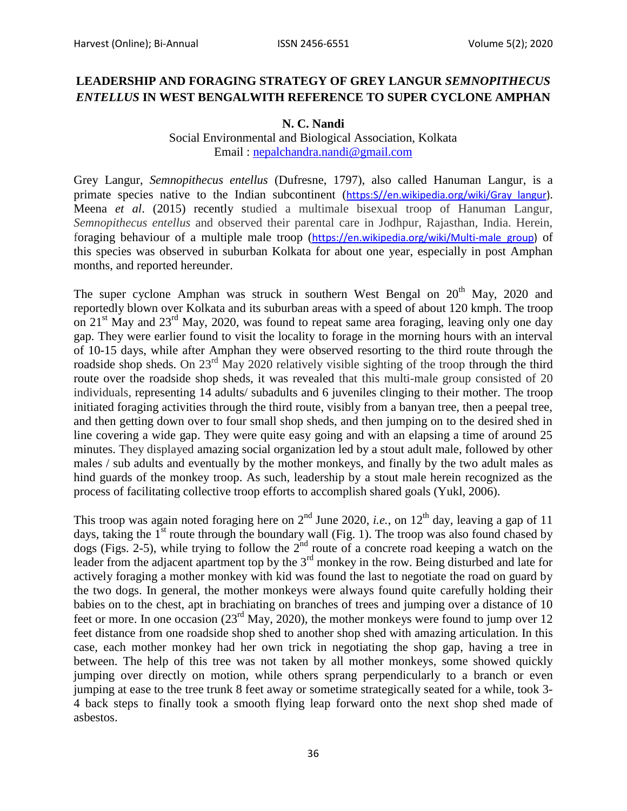## **LEADERSHIP AND FORAGING STRATEGY OF GREY LANGUR** *SEMNOPITHECUS ENTELLUS* **IN WEST BENGALWITH REFERENCE TO SUPER CYCLONE AMPHAN**

## **N. C. Nandi**

## Social Environmental and Biological Association, Kolkata Email : [nepalchandra.nandi@gmail.com](mailto:nepalchandra.nandi@gmail.com)

Grey Langur, *Semnopithecus entellus* (Dufresne, 1797), also called Hanuman Langur, is a primate species native to the Indian subcontinent (https: S//en.wikipedia.org/wiki/Gray langur). Meena *et al*. (2015) recently studied a multimale bisexual troop of Hanuman Langur, *Semnopithecus entellus* and observed their parental care in Jodhpur, Rajasthan, India. Herein, foraging behaviour of a multiple male troop ([https://en.wikipedia.org/wiki/Multi-male\\_group\)](https://en.wikipedia.org/wiki/Multi-male_group) of this species was observed in suburban Kolkata for about one year, especially in post Amphan months, and reported hereunder.

The super cyclone Amphan was struck in southern West Bengal on  $20<sup>th</sup>$  May, 2020 and reportedly blown over Kolkata and its suburban areas with a speed of about 120 kmph. The troop on 21<sup>st</sup> May and 23<sup>rd</sup> May, 2020, was found to repeat same area foraging, leaving only one day gap. They were earlier found to visit the locality to forage in the morning hours with an interval of 10-15 days, while after Amphan they were observed resorting to the third route through the roadside shop sheds. On 23<sup>rd</sup> May 2020 relatively visible sighting of the troop through the third route over the roadside shop sheds, it was revealed that this multi-male group consisted of 20 individuals, representing 14 adults/ subadults and 6 juveniles clinging to their mother. The troop initiated foraging activities through the third route, visibly from a banyan tree, then a peepal tree, and then getting down over to four small shop sheds, and then jumping on to the desired shed in line covering a wide gap. They were quite easy going and with an elapsing a time of around 25 minutes. They displayed amazing social organization led by a stout adult male, followed by other males / sub adults and eventually by the mother monkeys, and finally by the two adult males as hind guards of the monkey troop. As such, leadership by a stout male herein recognized as the process of facilitating collective troop efforts to accomplish shared goals (Yukl, 2006).

This troop was again noted foraging here on  $2<sup>nd</sup>$  June 2020, *i.e.*, on  $12<sup>th</sup>$  day, leaving a gap of 11 days, taking the  $1<sup>st</sup>$  route through the boundary wall (Fig. 1). The troop was also found chased by dogs (Figs. 2-5), while trying to follow the  $2<sup>nd</sup>$  route of a concrete road keeping a watch on the leader from the adjacent apartment top by the  $3<sup>rd</sup>$  monkey in the row. Being disturbed and late for actively foraging a mother monkey with kid was found the last to negotiate the road on guard by the two dogs. In general, the mother monkeys were always found quite carefully holding their babies on to the chest, apt in brachiating on branches of trees and jumping over a distance of 10 feet or more. In one occasion  $(23^{rd}$  May, 2020), the mother monkeys were found to jump over 12 feet distance from one roadside shop shed to another shop shed with amazing articulation. In this case, each mother monkey had her own trick in negotiating the shop gap, having a tree in between. The help of this tree was not taken by all mother monkeys, some showed quickly jumping over directly on motion, while others sprang perpendicularly to a branch or even jumping at ease to the tree trunk 8 feet away or sometime strategically seated for a while, took 3- 4 back steps to finally took a smooth flying leap forward onto the next shop shed made of asbestos.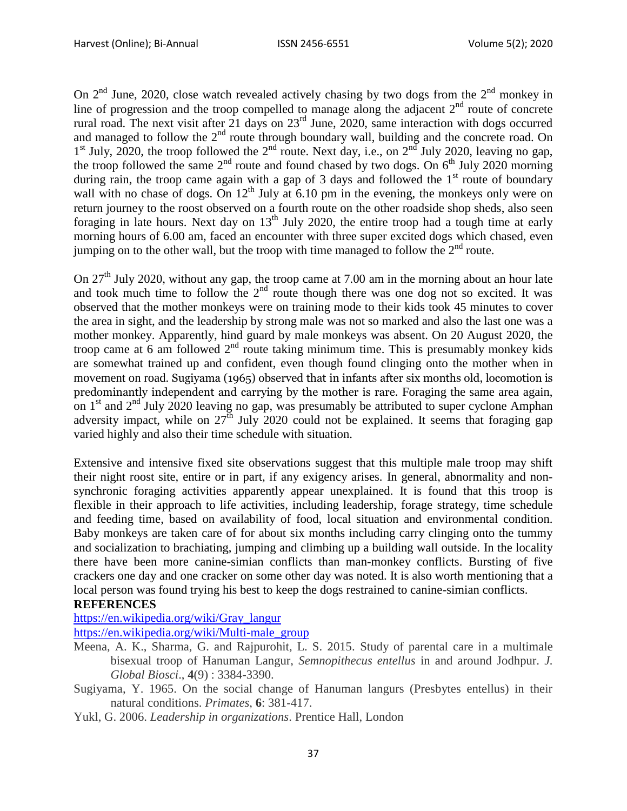On  $2<sup>nd</sup>$  June, 2020, close watch revealed actively chasing by two dogs from the  $2<sup>nd</sup>$  monkey in line of progression and the troop compelled to manage along the adjacent  $2<sup>nd</sup>$  route of concrete rural road. The next visit after 21 days on 23rd June, 2020, same interaction with dogs occurred and managed to follow the  $2<sup>nd</sup>$  route through boundary wall, building and the concrete road. On  $1<sup>st</sup>$  July, 2020, the troop followed the  $2<sup>nd</sup>$  route. Next day, i.e., on  $2<sup>nd</sup>$  July 2020, leaving no gap, the troop followed the same  $2<sup>nd</sup>$  route and found chased by two dogs. On  $6<sup>th</sup>$  July 2020 morning during rain, the troop came again with a gap of 3 days and followed the 1<sup>st</sup> route of boundary wall with no chase of dogs. On  $12<sup>th</sup>$  July at 6.10 pm in the evening, the monkeys only were on return journey to the roost observed on a fourth route on the other roadside shop sheds, also seen foraging in late hours. Next day on  $13<sup>th</sup>$  July 2020, the entire troop had a tough time at early morning hours of 6.00 am, faced an encounter with three super excited dogs which chased, even jumping on to the other wall, but the troop with time managed to follow the  $2<sup>nd</sup>$  route.

On 27<sup>th</sup> July 2020, without any gap, the troop came at 7.00 am in the morning about an hour late and took much time to follow the  $2<sup>nd</sup>$  route though there was one dog not so excited. It was observed that the mother monkeys were on training mode to their kids took 45 minutes to cover the area in sight, and the leadership by strong male was not so marked and also the last one was a mother monkey. Apparently, hind guard by male monkeys was absent. On 20 August 2020, the troop came at 6 am followed  $2<sup>nd</sup>$  route taking minimum time. This is presumably monkey kids are somewhat trained up and confident, even though found clinging onto the mother when in movement on road. Sugiyama (1965) observed that in infants after six months old, locomotion is predominantly independent and carrying by the mother is rare. Foraging the same area again, on  $1<sup>st</sup>$  and  $2<sup>nd</sup>$  July 2020 leaving no gap, was presumably be attributed to super cyclone Amphan adversity impact, while on  $27<sup>th</sup>$  July 2020 could not be explained. It seems that foraging gap varied highly and also their time schedule with situation.

Extensive and intensive fixed site observations suggest that this multiple male troop may shift their night roost site, entire or in part, if any exigency arises. In general, abnormality and nonsynchronic foraging activities apparently appear unexplained. It is found that this troop is flexible in their approach to life activities, including leadership, forage strategy, time schedule and feeding time, based on availability of food, local situation and environmental condition. Baby monkeys are taken care of for about six months including carry clinging onto the tummy and socialization to brachiating, jumping and climbing up a building wall outside. In the locality there have been more canine-simian conflicts than man-monkey conflicts. Bursting of five crackers one day and one cracker on some other day was noted. It is also worth mentioning that a local person was found trying his best to keep the dogs restrained to canine-simian conflicts.

## **REFERENCES**

[https://en.wikipedia.org/wiki/Gray\\_langur](https://en.wikipedia.org/wiki/Gray_langur)

[https://en.wikipedia.org/wiki/Multi-male\\_group](https://en.wikipedia.org/wiki/Multi-male_group)

- Meena, A. K., Sharma, G. and Rajpurohit, L. S. 2015. Study of parental care in a multimale bisexual troop of Hanuman Langur, *Semnopithecus entellus* in and around Jodhpur. *J. Global Biosci*., **4**(9) : 3384-3390.
- Sugiyama, Y. 1965. On the social change of Hanuman langurs (Presbytes entellus) in their natural conditions. *Primates*, **6**: 381-417.
- Yukl, G. 2006. *Leadership in organizations*. Prentice Hall, London